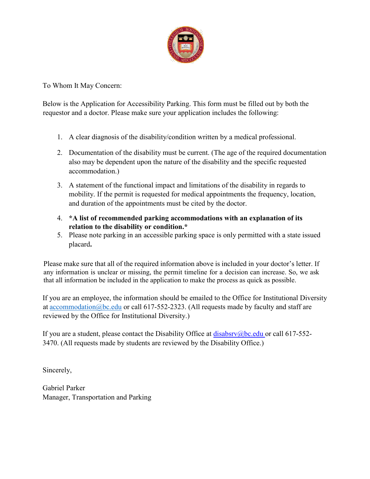

To Whom It May Concern:

Below is the Application for Accessibility Parking. This form must be filled out by both the requestor and a doctor. Please make sure your application includes the following:

- 1. A clear diagnosis of the disability/condition written by a medical professional.
- 2. Documentation of the disability must be current. (The age of the required documentation also may be dependent upon the nature of the disability and the specific requested accommodation.)
- 3. A statement of the functional impact and limitations of the disability in regards to mobility. If the permit is requested for medical appointments the frequency, location, and duration of the appointments must be cited by the doctor.
- 4. **\*A list of recommended parking accommodations with an explanation of its relation to the disability or condition.\***
- 5. Please note parking in an accessible parking space is only permitted with a state issued placard**.**

Please make sure that all of the required information above is included in your doctor's letter. If any information is unclear or missing, the permit timeline for a decision can increase. So, we ask that all information be included in the application to make the process as quick as possible.

If you are an employee, the information should be emailed to the Office for Institutional Diversity at accommodation@bc.edu or call 617-552-2323. (All requests made by faculty and staff are reviewed by the Office for Institutional Diversity.)

If you are a student, please contact the Disability Office at  $disabsv@bc.edu$  or call 617-552-3470. (All requests made by students are reviewed by the Disability Office.)

Sincerely,

Gabriel Parker Manager, Transportation and Parking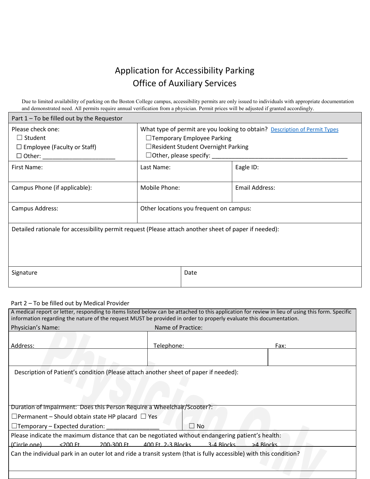## Application for Accessibility Parking Office of Auxiliary Services

Due to limited availability of parking on the Boston College campus, accessibility permits are only issued to individuals with appropriate documentation and demonstrated need. All permits require annual verification from a physician. Permit prices will be adjusted if granted accordingly.

| Part $1$ – To be filled out by the Requestor                                                          |                                                                                                                                                                                         |      |                       |  |  |  |
|-------------------------------------------------------------------------------------------------------|-----------------------------------------------------------------------------------------------------------------------------------------------------------------------------------------|------|-----------------------|--|--|--|
| Please check one:<br>$\Box$ Student<br>$\Box$ Employee (Faculty or Staff)                             | What type of permit are you looking to obtain? Description of Permit Types<br>□Temporary Employee Parking<br>$\Box$ Resident Student Overnight Parking<br>$\Box$ Other, please specify: |      |                       |  |  |  |
| First Name:                                                                                           | Last Name:                                                                                                                                                                              |      | Eagle ID:             |  |  |  |
| Campus Phone (if applicable):                                                                         | Mobile Phone:                                                                                                                                                                           |      | <b>Email Address:</b> |  |  |  |
| Campus Address:                                                                                       | Other locations you frequent on campus:                                                                                                                                                 |      |                       |  |  |  |
| Detailed rationale for accessibility permit request (Please attach another sheet of paper if needed): |                                                                                                                                                                                         |      |                       |  |  |  |
| Signature                                                                                             |                                                                                                                                                                                         | Date |                       |  |  |  |

## Part 2 – To be filled out by Medical Provider

Г

| A medical report or letter, responding to items listed below can be attached to this application for review in lieu of using this form. Specific<br>information regarding the nature of the request MUST be provided in order to properly evaluate this documentation. |                   |      |  |  |  |
|------------------------------------------------------------------------------------------------------------------------------------------------------------------------------------------------------------------------------------------------------------------------|-------------------|------|--|--|--|
| Physician's Name:                                                                                                                                                                                                                                                      | Name of Practice: |      |  |  |  |
| Address:                                                                                                                                                                                                                                                               | Telephone:        | Fax: |  |  |  |
|                                                                                                                                                                                                                                                                        |                   |      |  |  |  |
| Description of Patient's condition (Please attach another sheet of paper if needed):                                                                                                                                                                                   |                   |      |  |  |  |
|                                                                                                                                                                                                                                                                        |                   |      |  |  |  |
|                                                                                                                                                                                                                                                                        |                   |      |  |  |  |
| Duration of Impairment: Does this Person Require a Wheelchalr/Scooter?:                                                                                                                                                                                                |                   |      |  |  |  |
| $\Box$ Permanent – Should obtain state HP placard $\Box$ Yes                                                                                                                                                                                                           |                   |      |  |  |  |
| □Temporary - Expected duration: _____________<br>П<br><b>No</b>                                                                                                                                                                                                        |                   |      |  |  |  |
| Please indicate the maximum distance that can be negotiated without endangering patient's health:                                                                                                                                                                      |                   |      |  |  |  |
| (Circle one) <200 Ft. 200-300 Ft. 400 Ft. 2-3 Blocks 3-4 Blocks >4 Blocks                                                                                                                                                                                              |                   |      |  |  |  |
| Can the individual park in an outer lot and ride a transit system (that is fully accessible) with this condition?                                                                                                                                                      |                   |      |  |  |  |
|                                                                                                                                                                                                                                                                        |                   |      |  |  |  |
|                                                                                                                                                                                                                                                                        |                   |      |  |  |  |